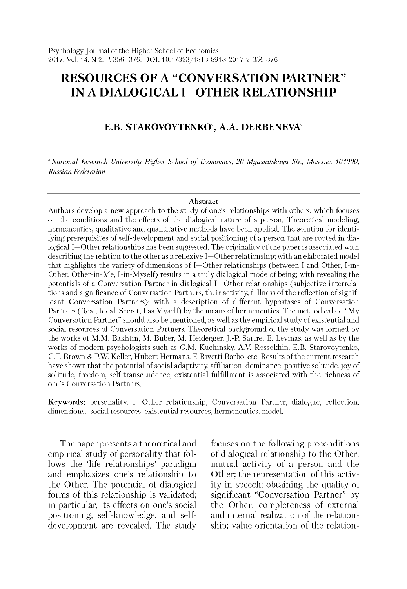# **RESOURCES OF A "CONVERSATION PARTNER" IN A DIALOGICAL I-OTHER RELATIONSHIP**

## **E.B. STAROVOYTENKO<sup>a</sup>, A.A. DERBENEVA<sup>a</sup>**

<sup>a</sup> National Research University Higher School of Economics, 20 Myasnitskaya Str., Moscow, 101000, *Russian Federation*

#### **Abstract**

Authors develop a new approach to the study of one's relationships with others, which focuses on the conditions and the effects of the dialogical nature of a person. Theoretical modeling, hermeneutics, qualitative and quantitative methods have been applied. The solution for identifying prerequisites of self-development and social positioning of a person that are rooted in dialogical I—O ther relationships has been suggested. The originality of the paper is associated with describing the relation to the other as a reflexive I—O ther relationship; with an elaborated model that highlights the variety of dimensions of I—O ther relationships (between I and O ther, I-in-Other, Other-in-Me, I-in-Myself) results in a truly dialogical mode of being; with revealing the potentials of a Conversation Partner in dialogical I—O ther relationships (subjective interrelations and significance of Conversation Partners, their activity, fullness of the reflection of significant Conversation Partners); with a description of different hypostases of Conversation Partners (Real, Ideal, Secret, I as Myself) by the means of hermeneutics. The method called "My Conversation Partner" should also be mentioned, as well as the empirical study of existential and social resources of Conversation Partners. Theoretical background of the study was formed by the works of M.M. Bakhtin, M. Buber, M. Heidegger, J.-P. Sartre. E. Levinas, as well as by the works of modern psychologists such as G.M. Kuchinsky, A.V. Rossokhin, E.B. Starovoytenko, C.T. Brown & P.W. Keller, Hubert Hermans, F. Rivetti Barbo, etc. Results of the current research have shown that the potential of social adaptivity, affiliation, dominance, positive solitude, joy of solitude, freedom, self-transcendence, existential fulfillment is associated with the richness of one's Conversation Partners.

Keywords: personality, I-Other relationship, Conversation Partner, dialogue, reflection, dimensions, social resources, existential resources, hermeneutics, model.

The paper presents a theoretical and empirical study of personality that follows the 'life relationships' paradigm and emphasizes one's relationship to the Other. The potential of dialogical forms of this relationship is validated; in particular, its effects on one's social positioning, self-knowledge, and selfdevelopment are revealed. The study focuses on the following preconditions of dialogical relationship to the Other: mutual activity of a person and the Other; the representation of this activity in speech; obtaining the quality of significant "Conversation Partner" by the Other; completeness of external and internal realization of the relationship; value orientation of the relation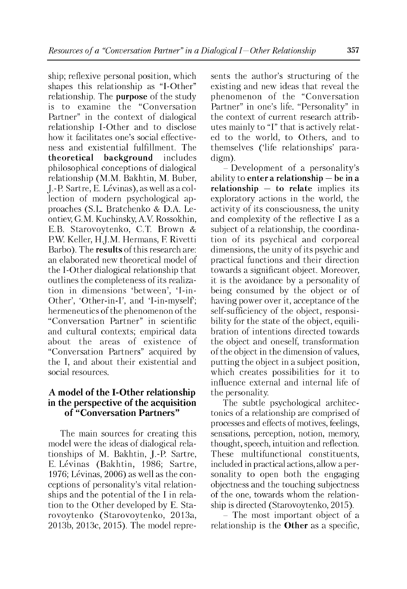ship; reflexive personal position, which shapes this relationship as "I-Other" relationship. The **purpose** of the study is to examine the "Conversation Partner" in the context of dialogical relationship I-Other and to disclose how it facilitates one's social effectiveness and existential fulfillment. The **theoretical background** includes philosophical conceptions of dialogical relationship (M.M. Bakhtin, M. Buber, J.-P Sartre, E. Levinas), as well as a collection of modern psychological approaches (S.L. Bratchenko & D.A. Leontiev, G.M. Kuchinsky, A.V. Rossokhin, E.B. Starovoytenko, C.T. Brown & PW. Keller, H.J.M. Hermans, F. Rivetti Barbo). The **results** of this research are: an elaborated new theoretical model of the I-Other dialogical relationship that outlines the completeness of its realization in dimensions 'between', 'I-in-Other', 'Other-in-I', and 'I-in-myself'; hermeneutics of the phenomenon of the "Conversation Partner" in scientific and cultural contexts; empirical data about the areas of existence of "Conversation Partners" acquired by the I, and about their existential and social resources.

## **A model of the I-Other relationship in the perspective of the acquisition of "Conversation Partners"**

The main sources for creating this model were the ideas of dialogical relationships of M. Bakhtin, J.-P. Sartre, E. Lévinas (Bakhtin, 1986; Sartre, 1976; Lévinas, 2006) as well as the conceptions of personality's vital relationships and the potential of the I in relation to the Other developed by E. Starovoytenko (Starovoytenko, 2013a, 2013b, 2013c, 2015). The model represents the author's structuring of the existing and new ideas that reveal the phenomenon of the "Conversation Partner" in one's life. "Personality" in the context of current research attributes mainly to "I" that is actively related to the world, to Others, and to themselves ('life relationships' paradigm).

- Development of a personality's ability to **enter a relationship — be in a relationship — to relate** implies its exploratory actions in the world, the activity of its consciousness, the unity and complexity of the reflective I as a subject of a relationship, the coordination of its psychical and corporeal dimensions, the unity of its psychic and practical functions and their direction towards a significant object. Moreover, it is the avoidance by a personality of being consumed by the object or of having power over it, acceptance of the self-sufficiency of the object, responsibility for the state of the object, equilibration of intentions directed towards the object and oneself, transformation of the object in the dimension of values, putting the object in a subject position, which creates possibilities for it to influence external and internal life of the personality.

The subtle psychological architectonics of a relationship are comprised of processes and effects of motives, feelings, sensations, perception, notion, memory, thought, speech, intuition and reflection. These multifunctional constituents, included in practical actions, allow a personality to open both the engaging objectness and the touching subjectness of the one, towards whom the relationship is directed (Starovoytenko, 2015).

- The most important object of a relationship is the **Other** as a specific,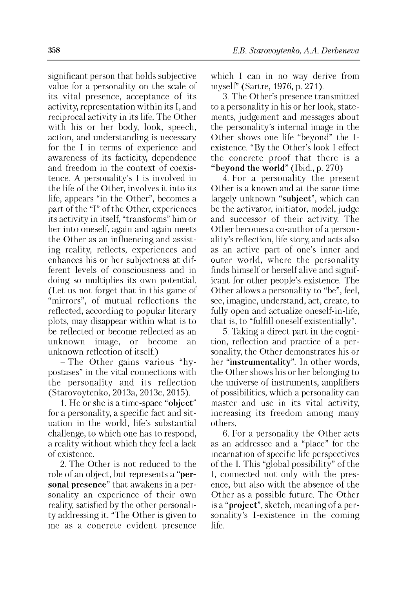significant person that holds subjective value for a personality on the scale of its vital presence, acceptance of its activity, representation within its I, and reciprocal activity in its life. The Other with his or her body, look, speech, action, and understanding is necessary for the I in terms of experience and awareness of its facticity, dependence and freedom in the context of coexistence. A personality's I is involved in the life of the Other, involves it into its life, appears "in the Other", becomes a part of the "I" of the Other, experiences its activity in itself, "transforms" him or her into oneself, again and again meets the Other as an influencing and assisting reality, reflects, experiences and enhances his or her subjectness at different levels of consciousness and in doing so multiplies its own potential. (Let us not forget that in this game of "mirrors", of mutual reflections the reflected, according to popular literary plots, may disappear within what is to be reflected or become reflected as an unknown image, or become an unknown reflection of itself.)

- The Other gains various "hypostases" in the vital connections with the personality and its reflection (Starovoytenko, 2013a, 2013c, 2015).

1. He or she is a time-space "**object**" for a personality, a specific fact and situation in the world, life's substantial challenge, to which one has to respond, a reality without which they feel a lack of existence.

2. The Other is not reduced to the role of an object, but represents a "**personal presence**" that awakens in a personality an experience of their own reality, satisfied by the other personality addressing it. "The Other is given to me as a concrete evident presence which I can in no way derive from myself" (Sartre, 1976, p. 271).

3. The Other's presence transmitted to a personality in his or her look, statements, judgement and messages about the personality's internal image in the Other shows one life "beyond" the Iexistence. "By the Other's look I effect the concrete proof that there is a **"beyond the world**" (Ibid., p. 270)

4. For a personality the present Other is a known and at the same time largely unknown "**subject**", which can be the activator, initiator, model, judge and successor of their activity. The Other becomes a co-author of a personality's reflection, life story, and acts also as an active part of one's inner and outer world, where the personality finds himself or herself alive and significant for other people's existence. The Other allows a personality to "be", feel, see, imagine, understand, act, create, to fully open and actualize oneself-in-life, that is, to "fulfill oneself existentially".

5. Taking a direct part in the cognition, reflection and practice of a personality, the Other demonstrates his or her "**instrumentality**". In other words, the Other shows his or her belonging to the universe of instruments, amplifiers of possibilities, which a personality can master and use in its vital activity, increasing its freedom among many others.

6. For a personality the Other acts as an addressee and a "place" for the incarnation of specific life perspectives of the I. This "global possibility" of the I, connected not only with the presence, but also with the absence of the Other as a possible future. The Other is a "**project**", sketch, meaning of a personality's I-existence in the coming life.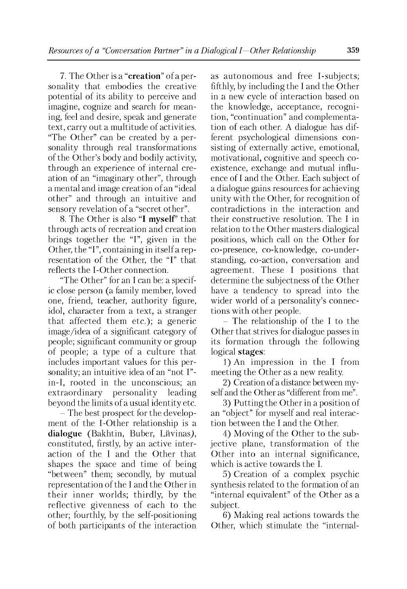7. The Other is a "**creation**" of a personality that embodies the creative potential of its ability to perceive and imagine, cognize and search for meaning, feel and desire, speak and generate text, carry out a multitude of activities. "The Other" can be created by a personality through real transformations of the Other's body and bodily activity, through an experience of internal creation of an "imaginary other", through a mental and image creation of an "ideal other" and through an intuitive and sensory revelation of a "secret other".

8. The Other is also "**I myself**" that through acts of recreation and creation brings together the "I", given in the Other, the "I", containing in itself a representation of the Other, the "I" that reflects the I-Other connection.

"The Other" for an I can be: a specific close person (a family member, loved one, friend, teacher, authority figure, idol, character from a text, a stranger that affected them etc.); a generic image/idea of a significant category of people; significant community or group of people; a type of a culture that includes important values for this personality; an intuitive idea of an "not I" in-I, rooted in the unconscious; an extraordinary personality leading beyond the limits of a usual identity etc.

- The best prospect for the development of the I-Other relationship is a dialogue *(Bakhtin, Buber, Livinas)*, constituted, firstly, by an active interaction of the I and the Other that shapes the space and time of being "between" them; secondly, by mutual representation of the I and the Other in their inner worlds; thirdly, by the reflective givenness of each to the other; fourthly, by the self-positioning of both participants of the interaction as autonomous and free I-subjects; fifthly, by including the I and the Other in a new cycle of interaction based on the knowledge, acceptance, recognition, "continuation" and complementation of each other. A dialogue has different psychological dimensions consisting of externally active, emotional, motivational, cognitive and speech coexistence, exchange and mutual influence of I and the Other. Each subject of a dialogue gains resources for achieving unity with the Other, for recognition of contradictions in the interaction and their constructive resolution. The I in relation to the Other masters dialogical positions, which call on the Other for co-presence, co-knowledge, co-understanding, co-action, conversation and agreement. These I positions that determine the subjectness of the Other have a tendency to spread into the wider world of a personality's connections with other people.

- The relationship of the I to the Other that strives for dialogue passes in its formation through the following logical **stages**:

1) An impression in the I from meeting the Other as a new reality.

2) Creation of a distance between myself and the Other as "different from me".

3) Putting the Other in a position of an "object" for myself and real interaction between the I and the Other.

4) Moving of the Other to the subjective plane, transformation of the Other into an internal significance, which is active towards the I.

5) Creation of a complex psychic synthesis related to the formation of an "internal equivalent" of the Other as a subject.

6) Making real actions towards the Other, which stimulate the "internal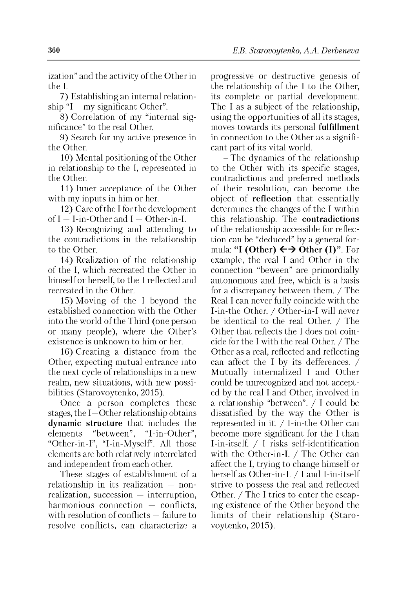ization" and the activity of the Other in the I.

7) Establishing an internal relationship "I – my significant Other".

8) Correlation of my "internal significance" to the real Other.

9) Search for my active presence in the Other.

10) Mental positioning of the Other in relationship to the I, represented in the Other.

11) Inner acceptance of the Other with my inputs in him or her.

12) Care of the I for the development of  $I - I$ -in-Other and  $I - O$ ther-in-I.

13) Recognizing and attending to the contradictions in the relationship to the Other.

14) Realization of the relationship of the I, which recreated the Other in himself or herself, to the I reflected and recreated in the Other.

15) Moving of the I beyond the established connection with the Other into the world of the Third (one person or many people), where the Other's existence is unknown to him or her.

16) Creating a distance from the Other, expecting mutual entrance into the next cycle of relationships in a new realm, new situations, with new possibilities (Starovoytenko, 2015).

Once a person completes these stages, the I—Other relationship obtains **dynamic structure** that includes the elements "between", "I-in-Other", "Other-in-I", "I-in-Myself". All those elements are both relatively interrelated and independent from each other.

These stages of establishment of a relationship in its realization — nonrealization, succession — interruption, harmonious connection — conflicts. with resolution of conflicts — failure to resolve conflicts, can characterize a progressive or destructive genesis of the relationship of the I to the Other, its complete or partial development. The I as a subject of the relationship, using the opportunities of all its stages, moves towards its personal **fulfillment** in connection to the Other as a significant part of its vital world.

- The dynamics of the relationship to the Other with its specific stages, contradictions and preferred methods of their resolution, can become the object of **reflection** that essentially determines the changes of the I within this relationship. The **contradictions** of the relationship accessible for reflection can be "deduced" by a general formula: **"I (Other)**  $\leftrightarrow$  Other (I)". For example, the real I and Other in the connection "beween" are primordially autonomous and free, which is a basis for a discrepancy between them. / The Real I can never fully coincide with the I-in-the Other. / Other-in-I will never be identical to the real Other. / The Other that reflects the I does not coincide for the I with the real Other. / The Other as a real, reflected and reflecting can affect the I by its defferences. / Mutually internalized I and Other could be unrecognized and not accepted by the real I and Other, involved in a relationship "between". / I could be dissatisfied by the way the Other is represented in it. / I-in-the Other can become more significant for the I than I-in-itself. / I risks self-identification with the Other-in-I. / The Other can affect the I, trying to change himself or herself as Other-in-I. / I and I-in-itself strive to possess the real and reflected Other. / The I tries to enter the escaping existence of the Other beyond the limits of their relationship (Starovoytenko, 2015).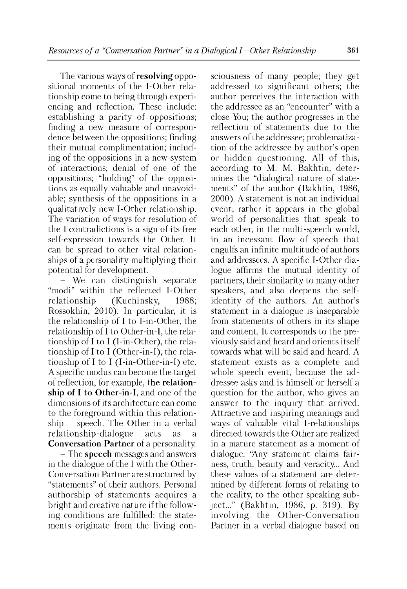The various ways of **resolving** oppositional moments of the I-Other relationship come to being through experiencing and reflection. These include: establishing a parity of oppositions; finding a new measure of correspondence between the oppositions; finding their mutual complimentation; including of the oppositions in a new system of interactions; denial of one of the oppositions; "holding" of the oppositions as equally valuable and unavoidable; synthesis of the oppositions in a qualitatively new I-Other relationship. The variation of ways for resolution of the I contradictions is a sign of its free self-expression towards the Other. It can be spread to other vital relationships of a personality multiplying their potential for development.

- We can distinguish separate "modi" within the reflected I-Other relationship (Kuchinsky, 1988; Rossokhin, 2010). In particular, it is the relationship of I to I-in-Other, the relationship of I to Other-in-I, the relationship of I to I (I-in-Other), the relationship of I to I (Other-in-I), the relationship of I to I (I-in-Other-in-I) etc. A specific modus can become the target of reflection, for example, **the relationship of I to Other-in-I**, and one of the dimensions of its architecture can come to the foreground within this relationship - speech. The Other in a verbal relationship-dialogue acts as a **Conversation Partner** of a personality.

- The **speech** messages and answers in the dialogue of the I with the Other-Conversation Partner are structured by "statements" of their authors. Personal authorship of statements acquires a bright and creative nature if the following conditions are fulfilled: the statements originate from the living consciousness of many people; they get addressed to significant others; the author perceives the interaction with the addressee as an "encounter" with a close You; the author progresses in the reflection of statements due to the answers of the addressee; problematization of the addressee by author's open or hidden questioning. All of this, according to M. M. Bakhtin, determines the "dialogical nature of statements" of the author (Bakhtin, 1986, 2000). A statement is not an individual event; rather it appears in the global world of personalities that speak to each other, in the multi-speech world, in an incessant flow of speech that engulfs an infinite multitude of authors and addressees. A specific I-Other dialogue affirms the mutual identity of partners, their similarity to many other speakers, and also deepens the selfidentity of the authors. An author's statement in a dialogue is inseparable from statements of others in its shape and content. It corresponds to the previously said and heard and orients itself towards what will be said and heard. A statement exists as a complete and whole speech event, because the addressee asks and is himself or herself a question for the author, who gives an answer to the inquiry that arrived. Attractive and inspiring meanings and ways of valuable vital I-relationships directed towards the Other are realized in a mature statement as a moment of dialogue. "Any statement claims fairness, truth, beauty and veracity... And these values of a statement are determined by different forms of relating to the reality, to the other speaking subject..." (Bakhtin, 1986, p. 319). By involving the Other-Conversation Partner in a verbal dialogue based on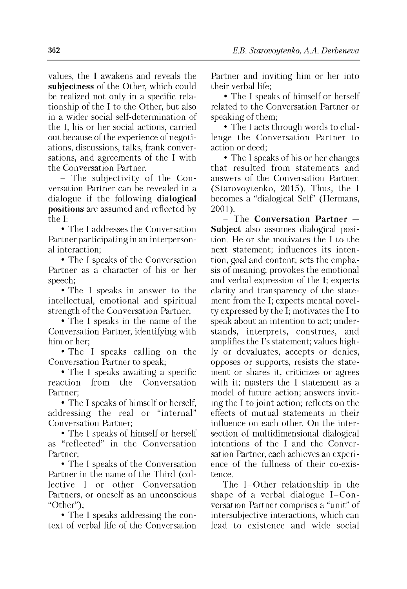values, the I awakens and reveals the **subjectness** of the Other, which could be realized not only in a specific relationship of the I to the Other, but also in a wider social self-determination of the I, his or her social actions, carried out because of the experience of negotiations, discussions, talks, frank conversations, and agreements of the I with the Conversation Partner.

- The subjectivity of the Conversation Partner can be revealed in a dialogue if the following **dialogical positions** are assumed and reflected by the I:

• The I addresses the Conversation Partner participating in an interpersonal interaction;

• The I speaks of the Conversation Partner as a character of his or her speech;

• The I speaks in answer to the intellectual, emotional and spiritual strength of the Conversation Partner;

• The I speaks in the name of the Conversation Partner, identifying with him or her;

• The I speaks calling on the Conversation Partner to speak;

• The I speaks awaiting a specific reaction from the Conversation Partner;

• The I speaks of himself or herself, addressing the real or "internal" Conversation Partner;

• The I speaks of himself or herself as "reflected" in the Conversation Partner;

• The I speaks of the Conversation Partner in the name of the Third (collective I or other Conversation Partners, or oneself as an unconscious "Other");

• The I speaks addressing the context of verbal life of the Conversation Partner and inviting him or her into their verbal life;

• The I speaks of himself or herself related to the Conversation Partner or speaking of them;

• The I acts through words to challenge the Conversation Partner to action or deed;

• The I speaks of his or her changes that resulted from statements and answers of the Conversation Partner. (Starovoytenko, 2015). Thus, the I becomes a "dialogical Self" (Hermans, 2001).

- The **Conversation Partner — Subject** also assumes dialogical position. He or she motivates the I to the next statement; influences its intention, goal and content; sets the emphasis of meaning; provokes the emotional and verbal expression of the I; expects clarity and transparency of the statement from the I; expects mental novelty expressed by the I; motivates the I to speak about an intention to act; understands, interprets, construes, and amplifies the I's statement; values highly or devaluates, accepts or denies, opposes or supports, resists the statement or shares it, criticizes or agrees with it; masters the I statement as a model of future action; answers inviting the I to joint action; reflects on the effects of mutual statements in their influence on each other. On the intersection of multidimensional dialogical intentions of the I and the Conversation Partner, each achieves an experience of the fullness of their co-existence.

The I-Other relationship in the shape of a verbal dialogue I-Conversation Partner comprises a "unit" of intersubjective interactions, which can lead to existence and wide social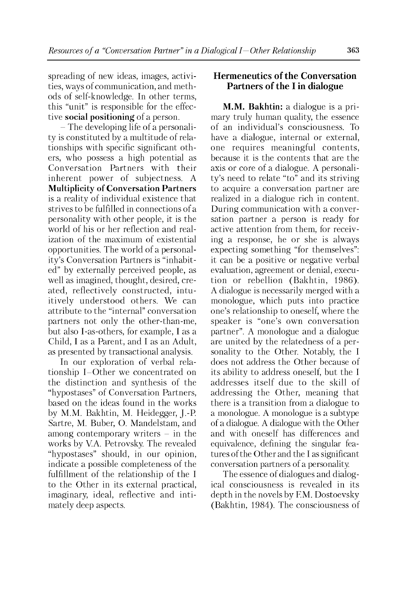spreading of new ideas, images, activities, ways of communication, and methods of self-knowledge. In other terms, this "unit" is responsible for the effective **social positioning** of a person.

- The developing life of a personality is constituted by a multitude of relationships with specific significant others, who possess a high potential as Conversation Partners with their inherent power of subjectness. A **Multiplicity of Conversation Partners** is a reality of individual existence that strives to be fulfilled in connections of a personality with other people, it is the world of his or her reflection and realization of the maximum of existential opportunities. The world of a personality's Conversation Partners is "inhabited" by externally perceived people, as well as imagined, thought, desired, created, reflectively constructed, intuitively understood others. We can attribute to the "internal" conversation partners not only the other-than-me, but also I-as-others, for example, I as a Child, I as a Parent, and I as an Adult, as presented by transactional analysis.

In our exploration of verbal relationship I-Other we concentrated on the distinction and synthesis of the "hypostases" of Conversation Partners, based on the ideas found in the works by M.M. Bakhtin, M. Heidegger, J.-P. Sartre, M. Buber, O. Mandelstam, and among contemporary writers  $-$  in the works by V.A. Petrovsky. The revealed "hypostases" should, in our opinion, indicate a possible completeness of the fulfillment of the relationship of the I to the Other in its external practical, imaginary, ideal, reflective and intimately deep aspects.

## **Hermeneutics of the Conversation Partners of the I in dialogue**

**M.M. Bakhtin:** a dialogue is a primary truly human quality, the essence of an individual's consciousness. To have a dialogue, internal or external, one requires meaningful contents, because it is the contents that are the axis or core of a dialogue. A personality's need to relate "to" and its striving to acquire a conversation partner are realized in a dialogue rich in content. During communication with a conversation partner a person is ready for active attention from them, for receiving a response, he or she is always expecting something "for themselves": it can be a positive or negative verbal evaluation, agreement or denial, execution or rebellion (Bakhtin, 1986). A dialogue is necessarily merged with a monologue, which puts into practice one's relationship to oneself, where the speaker is "one's own conversation partner". A monologue and a dialogue are united by the relatedness of a personality to the Other. Notably, the I does not address the Other because of its ability to address oneself, but the I addresses itself due to the skill of addressing the Other, meaning that there is a transition from a dialogue to a monologue. A monologue is a subtype of a dialogue. A dialogue with the Other and with oneself has differences and equivalence, defining the singular features of the Other and the I as significant conversation partners of a personality.

The essence of dialogues and dialogical consciousness is revealed in its depth in the novels by F.M. Dostoevsky (Bakhtin, 1984). The consciousness of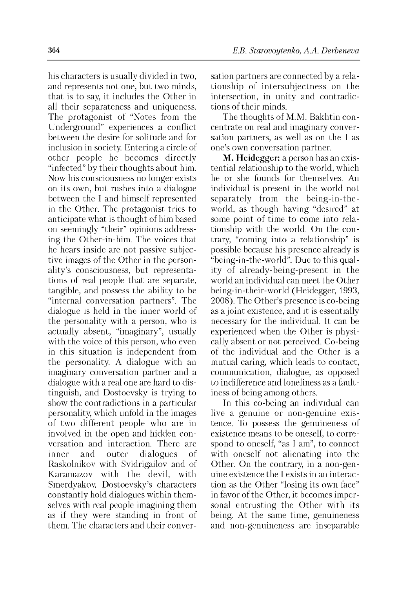his characters is usually divided in two, and represents not one, but two minds, that is to say, it includes the Other in all their separateness and uniqueness. The protagonist of "Notes from the Underground" experiences a conflict between the desire for solitude and for inclusion in society. Entering a circle of other people he becomes directly "infected" by their thoughts about him. Now his consciousness no longer exists on its own, but rushes into a dialogue between the I and himself represented in the Other. The protagonist tries to anticipate what is thought of him based on seemingly "their" opinions addressing the Other-in-him. The voices that he hears inside are not passive subjective images of the Other in the personality's consciousness, but representations of real people that are separate, tangible, and possess the ability to be "internal conversation partners". The dialogue is held in the inner world of the personality with a person, who is actually absent, "imaginary", usually with the voice of this person, who even in this situation is independent from the personality. A dialogue with an imaginary conversation partner and a dialogue with a real one are hard to distinguish, and Dostoevsky is trying to show the contradictions in a particular personality, which unfold in the images of two different people who are in involved in the open and hidden conversation and interaction. There are inner and outer dialogues of Raskolnikov with Svidrigailov and of Karamazov with the devil, with Smerdyakov. Dostoevsky's characters constantly hold dialogues within themselves with real people imagining them as if they were standing in front of them. The characters and their conversation partners are connected by a relationship of intersubjectness on the intersection, in unity and contradictions of their minds.

The thoughts of M.M. Bakhtin concentrate on real and imaginary conversation partners, as well as on the I as one's own conversation partner.

**M. Heidegger:** a person has an existential relationship to the world, which he or she founds for themselves. An individual is present in the world not separately from the being-in-theworld, as though having "desired" at some point of time to come into relationship with the world. On the contrary, "coming into a relationship" is possible because his presence already is "being-in-the-world". Due to this quality of already-being-present in the world an individual can meet the Other being-in-their-world (Heidegger, 1993, 2008). The Other's presence is co-being as a joint existence, and it is essentially necessary for the individual. It can be experienced when the Other is physically absent or not perceived. Co-being of the individual and the Other is a mutual caring, which leads to contact, communication, dialogue, as opposed to indifference and loneliness as a faultiness of being among others.

In this co-being an individual can live a genuine or non-genuine existence. To possess the genuineness of existence means to be oneself, to correspond to oneself, "as I am", to connect with oneself not alienating into the Other. On the contrary, in a non-genuine existence the I exists in an interaction as the Other "losing its own face" in favor of the Other, it becomes impersonal entrusting the Other with its being. At the same time, genuineness and non-genuineness are inseparable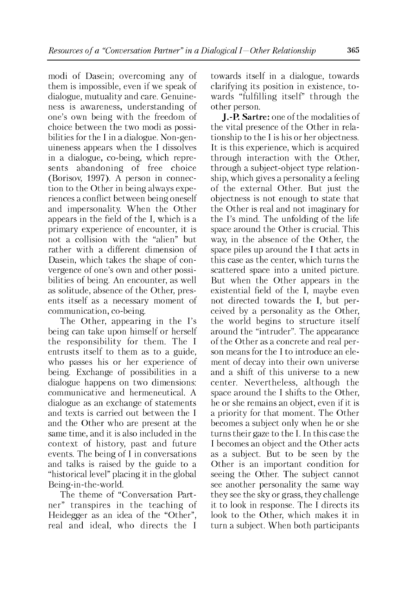modi of Dasein; overcoming any of them is impossible, even if we speak of dialogue, mutuality and care. Genuineness is awareness, understanding of one's own being with the freedom of choice between the two modi as possibilities for the I in a dialogue. Non-genuineness appears when the I dissolves in a dialogue, co-being, which represents abandoning of free choice (Borisov, 1997). A person in connection to the Other in being always experiences a conflict between being oneself and impersonality. When the Other appears in the field of the I, which is a primary experience of encounter, it is not a collision with the "alien" but rather with a different dimension of Dasein, which takes the shape of convergence of one's own and other possibilities of being. An encounter, as well as solitude, absence of the Other, presents itself as a necessary moment of communication, co-being.

The Other, appearing in the I's being can take upon himself or herself the responsibility for them. The I entrusts itself to them as to a guide, who passes his or her experience of being. Exchange of possibilities in a dialogue happens on two dimensions: communicative and hermeneutical. A dialogue as an exchange of statements and texts is carried out between the I and the Other who are present at the same time, and it is also included in the context of history, past and future events. The being of I in conversations and talks is raised by the guide to a "historical level" placing it in the global Being-in-the-world.

The theme of "Conversation Partner" transpires in the teaching of Heidegger as an idea of the "Other", real and ideal, who directs the I

towards itself in a dialogue, towards clarifying its position in existence, towards "fulfilling itself" through the other person.

**J.-P. Sartre:** one of the modalities of the vital presence of the Other in relationship to the I is his or her objectness. It is this experience, which is acquired through interaction with the Other, through a subject-object type relationship, which gives a personality a feeling of the external Other. But just the objectness is not enough to state that the Other is real and not imaginary for the I's mind. The unfolding of the life space around the Other is crucial. This way, in the absence of the Other, the space piles up around the I that acts in this case as the center, which turns the scattered space into a united picture. But when the Other appears in the existential field of the I, maybe even not directed towards the I, but perceived by a personality as the Other, the world begins to structure itself around the "intruder". The appearance of the Other as a concrete and real person means for the I to introduce an element of decay into their own universe and a shift of this universe to a new center. Nevertheless, although the space around the I shifts to the Other, he or she remains an object, even if it is a priority for that moment. The Other becomes a subject only when he or she turns their gaze to the I. In this case the I becomes an object and the Other acts as a subject. But to be seen by the Other is an important condition for seeing the Other. The subject cannot see another personality the same way they see the sky or grass, they challenge it to look in response. The I directs its look to the Other, which makes it in turn a subject. When both participants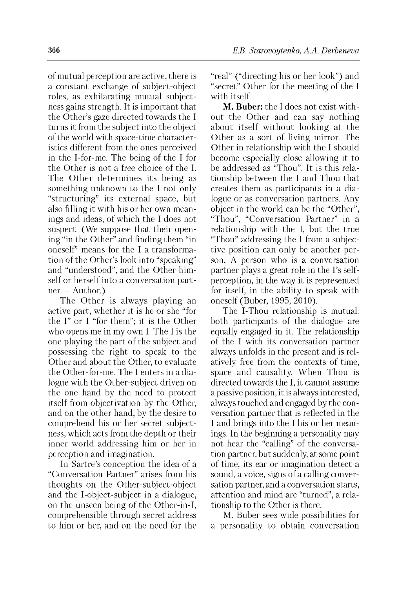of mutual perception are active, there is a constant exchange of subject-object roles, as exhilarating mutual subjectness gains strength. It is important that the Other's gaze directed towards the I turns it from the subject into the object of the world with space-time characteristics different from the ones perceived in the I-for-me. The being of the I for the Other is not a free choice of the I. The Other determines its being as something unknown to the I not only "structuring" its external space, but also filling it with his or her own meanings and ideas, of which the I does not suspect. (We suppose that their opening "in the Other" and finding them "in oneself" means for the I a transformation of the Other's look into "speaking" and "understood", and the Other himself or herself into a conversation part $ner. - Author.$ 

The Other is always playing an active part, whether it is he or she "for the I" or I "for them"; it is the Other who opens me in my own I. The I is the one playing the part of the subject and possessing the right to speak to the Other and about the Other, to evaluate the Other-for-me. The I enters in a dialogue with the Other-subject driven on the one hand by the need to protect itself from objectivation by the Other, and on the other hand, by the desire to comprehend his or her secret subjectness, which acts from the depth or their inner world addressing him or her in perception and imagination.

In Sartre's conception the idea of a "Conversation Partner" arises from his thoughts on the Other-subject-object and the I-object-subject in a dialogue, on the unseen being of the Other-in-I, comprehensible through secret address to him or her, and on the need for the "real" ("directing his or her look") and "secret" Other for the meeting of the I with itself.

**M. Buber:** the I does not exist without the Other and can say nothing about itself without looking at the Other as a sort of living mirror. The Other in relationship with the I should become especially close allowing it to be addressed as "Thou". It is this relationship between the I and Thou that creates them as participants in a dialogue or as conversation partners. Any object in the world can be the "Other", "Thou", "Conversation Partner" in a relationship with the I, but the true "Thou" addressing the I from a subjective position can only be another person. A person who is a conversation partner plays a great role in the I's selfperception, in the way it is represented for itself, in the ability to speak with oneself (Buber, 1995, 2010).

The I-Thou relationship is mutual: both participants of the dialogue are equally engaged in it. The relationship of the I with its conversation partner always unfolds in the present and is relatively free from the contexts of time, space and causality. When Thou is directed towards the I, it cannot assume a passive position, it is always interested, always touched and engaged by the conversation partner that is reflected in the I and brings into the I his or her meanings. In the beginning a personality may not hear the "calling" of the conversation partner, but suddenly, at some point of time, its ear or imagination detect a sound, a voice, signs of a calling conversation partner, and a conversation starts, attention and mind are "turned", a relationship to the Other is there.

M. Buber sees wide possibilities for a personality to obtain conversation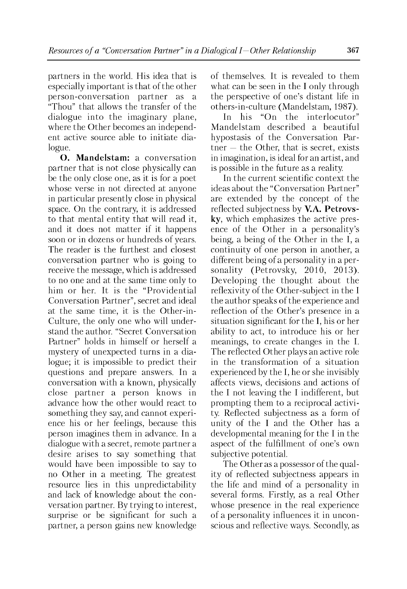partners in the world. His idea that is especially important is that of the other person-conversation partner as a "Thou" that allows the transfer of the dialogue into the imaginary plane, where the Other becomes an independent active source able to initiate dialogue.

**O. Mandelstam:** a conversation partner that is not close physically can be the only close one, as it is for a poet whose verse in not directed at anyone in particular presently close in physical space. On the contrary, it is addressed to that mental entity that will read it, and it does not matter if it happens soon or in dozens or hundreds of years. The reader is the furthest and closest conversation partner who is going to receive the message, which is addressed to no one and at the same time only to him or her. It is the "Providential Conversation Partner", secret and ideal at the same time, it is the Other-in-Culture, the only one who will understand the author. "Secret Conversation Partner" holds in himself or herself a mystery of unexpected turns in a dialogue; it is impossible to predict their questions and prepare answers. In a conversation with a known, physically close partner a person knows in advance how the other would react to something they say, and cannot experience his or her feelings, because this person imagines them in advance. In a dialogue with a secret, remote partner a desire arises to say something that would have been impossible to say to no Other in a meeting. The greatest resource lies in this unpredictability and lack of knowledge about the conversation partner. By trying to interest, surprise or be significant for such a partner, a person gains new knowledge of themselves. It is revealed to them what can be seen in the I only through the perspective of one's distant life in others-in-culture (Mandelstam, 1987).

In his "On the interlocutor" Mandelstam described a beautiful hypostasis of the Conversation Par $t$ her — the Other, that is secret, exists in imagination, is ideal for an artist, and is possible in the future as a reality.

In the current scientific context the ideas about the "Conversation Partner" are extended by the concept of the reflected subjectness by **V.A. Petrovsky**, which emphasizes the active presence of the Other in a personality's being, a being of the Other in the I, a continuity of one person in another, a different being of a personality in a personality (Petrovsky, 2010, 2013). Developing the thought about the reflexivity of the Other-subject in the I the author speaks of the experience and reflection of the Other's presence in a situation significant for the I, his or her ability to act, to introduce his or her meanings, to create changes in the I. The reflected Other plays an active role in the transformation of a situation experienced by the I, he or she invisibly affects views, decisions and actions of the I not leaving the I indifferent, but prompting them to a reciprocal activity. Reflected subjectness as a form of unity of the I and the Other has a developmental meaning for the I in the aspect of the fulfillment of one's own subjective potential.

The Other as a possessor of the quality of reflected subjectness appears in the life and mind of a personality in several forms. Firstly, as a real Other whose presence in the real experience of a personality influences it in unconscious and reflective ways. Secondly, as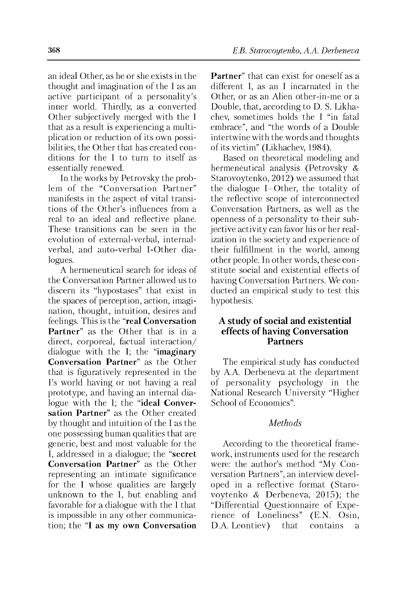an ideal Other, as he or she exists in the thought and imagination of the I as an active participant of a personality's inner world. Thirdly, as a converted Other subjectively merged with the I that as a result is experiencing a multiplication or reduction of its own possibilities, the Other that has created conditions for the I to turn to itself as essentially renewed.

In the works by Petrovsky the problem of the "Conversation Partner" manifests in the aspect of vital transitions of the Other's influences from a real to an ideal and reflective plane. These transitions can be seen in the evolution of external-verbal, internalverbal, and auto-verbal I-Other dialogues.

A hermeneutical search for ideas of the Conversation Partner allowed us to discern its "hypostases" that exist in the spaces of perception, action, imagination, thought, intuition, desires and feelings. This is the "**real Conversation Partner**" as the Other that is in a direct, corporeal, factual interaction/ dialogue with the I; the "**imaginary Conversation Partner**" as the Other that is figuratively represented in the I's world having or not having a real prototype, and having an internal dialogue with the I; the "**ideal Conversation Partner**" as the Other created by thought and intuition of the I as the one possessing human qualities that are generic, best and most valuable for the I, addressed in a dialogue; the "**secret Conversation Partner**" as the Other representing an intimate significance for the I whose qualities are largely unknown to the I, but enabling and favorable for a dialogue with the I that is impossible in any other communication; the "**I as my own Conversation**

**Partner**" that can exist for oneself as a different I, as an I incarnated in the Other, or as an Alien other-in-me or a Double, that, according to D. S. Likhachev, sometimes holds the I "in fatal embrace", and "the words of a Double intertwine with the words and thoughts of its victim" (Likhachev, 1984).

Based on theoretical modeling and hermeneutical analysis (Petrovsky & Starovoytenko, 2012) we assumed that the dialogue I-Other, the totality of the reflective scope of interconnected Conversation Partners, as well as the openness of a personality to their subjective activity can favor his or her realization in the society and experience of their fulfillment in the world, among other people. In other words, these constitute social and existential effects of having Conversation Partners. We conducted an empirical study to test this hypothesis.

## **A study of social and existential effects of having Conversation Partners**

The empirical study has conducted by A.A. Derbeneva at the department of personality psychology in the National Research University "Higher School of Economics".

### *Methods*

According to the theoretical framework, instruments used for the research were: the author's method "My Conversation Partners", an interview developed in a reflective format (Starovoytenko & Derbeneva, 2015); the "Differential Questionnaire of Experience of Loneliness" (E.N. Osin, D.A. Leontiev) that contains a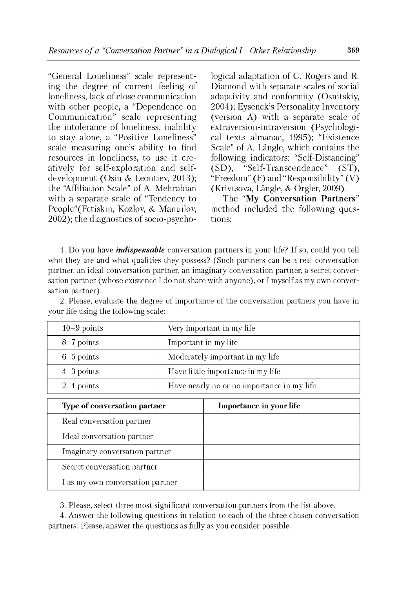"General Loneliness" scale representing the degree of current feeling of loneliness, lack of close communication with other people, a "Dependence on Communication" scale representing the intolerance of loneliness, inability to stay alone, a "Positive Loneliness" scale measuring one's ability to find resources in loneliness, to use it creatively for self-exploration and selfdevelopment (Osin & Leontiev, 2013); the 'Affiliation Scale" of A. Mehrabian with a separate scale of "Tendency to People"(Fetiskin, Kozlov, & Manuilov, 2002); the diagnostics of socio-psychological adaptation of C. Rogers and R. Diamond with separate scales of social adaptivity and conformity (Osnitskiy, 2004); Eysenck's Personality Inventory (version A) with a separate scale of extraversion-intraversion (Psychological texts almanac, 1995); "Existence Scale" of A. Längle, which contains the following indicators: "Self-Distancing" (SD), "Self-Transcendence" (ST), "Freedom" (F) and "Responsibility"  $(V)$ (Krivtsova, Langle, & Orgler, 2009).

The "**My Conversation Partners**" method included the following questions:

1. Do you have *indispensable* conversation partners in your life? If so, could you tell who they are and what qualities they possess? (Such partners can be a real conversation partner, an ideal conversation partner, an im aginary conversation partner, a secret conversation partner (whose existence I do not share with anyone), or I myself as my own conversation partner).

2. Please, evaluate the degree of importance of the conversation partners you have in your life using the following scale:

| $10-9$ points | Very important in my life                  |
|---------------|--------------------------------------------|
| $8-7$ points  | Important in my life                       |
| $6-5$ points  | Moderately important in my life            |
| $4-3$ points  | Have little importance in my life          |
| $2-1$ points  | Have nearly no or no importance in my life |

| Type of conversation partner     | Importance in your life |
|----------------------------------|-------------------------|
| Real conversation partner        |                         |
| Ideal conversation partner       |                         |
| Imaginary conversation partner   |                         |
| Secret conversation partner      |                         |
| I as my own conversation partner |                         |

3. Please, select three most significant conversation partners from the list above.

4. Answer the following questions in relation to each of the three chosen conversation partners. Please, answer the questions as fully as you consider possible.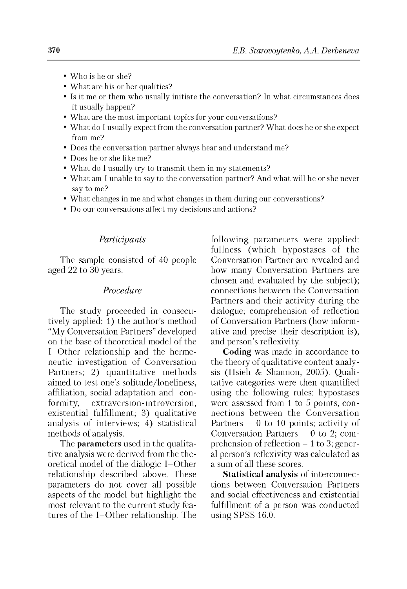- Who is he or she?
- What are his or her qualities?
- Is it me or them who usually initiate the conversation? In what circumstances does it usually happen?
- What are the most important topics for your conversations?
- What do I usually expect from the conversation partner? What does he or she expect from me?
- Does the conversation partner always hear and understand me?
- Does he or she like me?
- What do I usually try to transmit them in my statements?
- What am I unable to say to the conversation partner? And what will he or she never say to me?
- What changes in me and what changes in them during our conversations?
- Do our conversations affect my decisions and actions?

### *Participants*

The sample consisted of 40 people aged 22 to 30 years.

#### *Procedure*

The study proceeded in consecutively applied: 1) the author's method "My Conversation Partners" developed on the base of theoretical model of the I-Other relationship and the hermeneutic investigation of Conversation Partners; 2) quantitative methods aimed to test one's solitude/loneliness, affiliation, social adaptation and conformity, extraversion-introversion, existential fulfillment; 3) qualitative analysis of interviews; 4) statistical methods of analysis.

The **parameters** used in the qualitative analysis were derived from the theoretical model of the dialogic I-Other relationship described above. These parameters do not cover all possible aspects of the model but highlight the most relevant to the current study features of the I-Other relationship. The following parameters were applied: fullness (which hypostases of the Conversation Partner are revealed and how many Conversation Partners are chosen and evaluated by the subject); connections between the Conversation Partners and their activity during the dialogue; comprehension of reflection of Conversation Partners (how informative and precise their description is), and person's reflexivity.

**Coding** was made in accordance to the theory of qualitative content analysis (Hsieh & Shannon, 2005). Qualitative categories were then quantified using the following rules: hypostases were assessed from 1 to 5 points, connections between the Conversation Partners - 0 to 10 points; activity of Conversation Partners  $-0$  to 2; comprehension of reflection  $-1$  to 3; general person's reflexivity was calculated as a sum of all these scores.

**Statistical analysis** of interconnections between Conversation Partners and social effectiveness and existential fulfillment of a person was conducted using SPSS 16.0.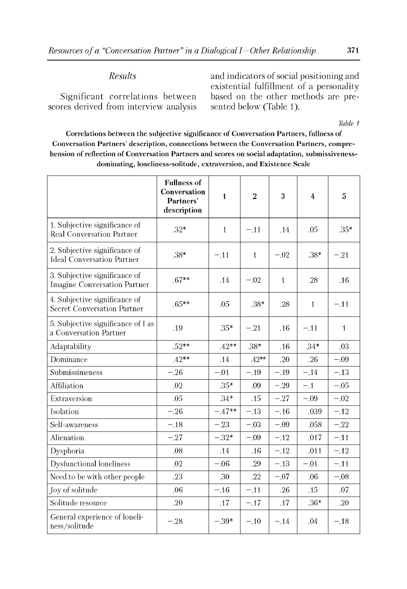## *Results*

Significant correlations between scores derived from interview analysis and indicators of social positioning and existential fulfillment of a personality based on the other methods are presented below (Table 1).

*Table 1*

Correlations between the subjective significance of Conversation Partners, fullness of Conversation Partners' description, connections between the Conversation Partners, comprehension of reflection of Conversation Partners and scores on social adaptation, submissivenessdominating, loneliness-solitude, extraversion, and Existence Scale

|                                                                    | <b>Fullness of</b><br>Conversation<br>Partners'<br>description | $\mathbf{1}$ | $\overline{2}$ | 3            | $\overline{4}$ | 5            |
|--------------------------------------------------------------------|----------------------------------------------------------------|--------------|----------------|--------------|----------------|--------------|
| 1. Subjective significance of<br><b>Real Conversation Partner</b>  | $.32*$                                                         | $\mathbf{1}$ | $-.11$         | .14          | .05            | $.35*$       |
| 2. Subjective significance of<br><b>Ideal Conversation Partner</b> | $.38*$                                                         | $-.11$       | $\mathbf{1}$   | $-.02$       | $.38*$         | $-.21$       |
| 3. Subjective significance of<br>Imagine Conversation Partner      | $.67**$                                                        | .14          | $-.02$         | $\mathbf{1}$ | .28            | .16          |
| 4. Subjective significance of<br>Secret Conversation Partner       | $.65**$                                                        | .05          | $.38*$         | .28          | $\mathbf{1}$   | $-.11$       |
| 5. Subjective significance of I as<br>a Conversation Partner       | .19                                                            | $.35*$       | $-.21$         | .16          | $-.11$         | $\mathbf{1}$ |
| Adaptability                                                       | $.52**$                                                        | $.42**$      | .38*           | .16          | $.34*$         | .03          |
| Dominance                                                          | $.42**$                                                        | .14          | $.42**$        | .20          | .26            | $-.09$       |
| Submissimeness                                                     | $-.26$                                                         | $-.01$       | $-.19$         | $-.19$       | $-.14$         | $-.13$       |
| Affiliation                                                        | .02                                                            | $.35*$       | .09            | $-.29$       | $-.1$          | $-.05$       |
| Extraversion                                                       | .05                                                            | $.34*$       | .15            | $-.27$       | $-.09$         | $-.02$       |
| Isolation                                                          | $-.26$                                                         | $-.47**$     | $-.13$         | $-.16$       | .039           | $-.12$       |
| Self-awareness                                                     | $-.18$                                                         | $-.23$       | $-.03$         | $-.09$       | .058           | $-.22$       |
| Alienation                                                         | $-.27$                                                         | $-.32*$      | $-.09$         | $-.12$       | .017           | $-.11$       |
| Dysphoria                                                          | .08                                                            | .14          | .16            | $-.12$       | .011           | $-.12$       |
| <b>Dysfunctional loneliness</b>                                    | .02                                                            | $-.06$       | .29            | $-.13$       | $-.01$         | $-.11$       |
| Need to be with other people                                       | .23                                                            | .30          | .22            | $-.07$       | .06            | $-.08$       |
| Joy of solitude                                                    | .06                                                            | $-.16$       | $-.11$         | .26          | .15            | .07          |
| Solitude resource                                                  | .20                                                            | .17          | $-.17$         | .17          | $.36*$         | .20          |
| General experience of loneli-<br>ness/solitude                     | $-.28$                                                         | $-39*$       | $-.10$         | $-.14$       | .04            | $-.18$       |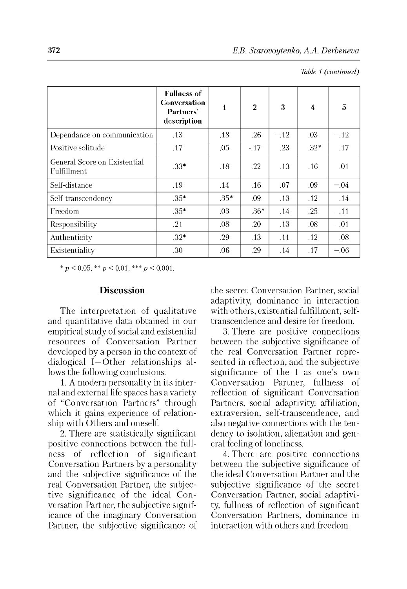|                                             | <b>Fullness of</b><br><b>Conversation</b><br>Partners'<br>description | $\mathbf{1}$ | $\overline{2}$ | 3      | 4       | 5      |
|---------------------------------------------|-----------------------------------------------------------------------|--------------|----------------|--------|---------|--------|
| Dependance on communication                 | .13                                                                   | .18          | .26            | $-.12$ | $.03\,$ | $-.12$ |
| Positive solitude                           | .17                                                                   | .05          | $-.17$         | .23    | $.32*$  | .17    |
| General Score on Existential<br>Fulfillment | $.33*$                                                                | .18          | $.22\,$        | .13    | .16     | .01    |
| Self-distance                               | .19                                                                   | .14          | .16            | .07    | .09     | $-.04$ |
| Self-transcendency                          | $.35*$                                                                | $.35*$       | .09            | .13    | .12     | .14    |
| <b>Freedom</b>                              | $.35*$                                                                | .03          | $.36*$         | .14    | .25     | $-.11$ |
| Responsibility                              | .21                                                                   | .08          | .20            | .13    | .08     | $-.01$ |
| Authenticity                                | $.32*$                                                                | .29          | .13            | .11    | .12     | .08    |
| Existentiality                              | .30                                                                   | .06          | .29            | .14    | .17     | $-.06$ |

*Table 1 (continued)*

\* *p <* 0.05, \*\* *p <* 0.01, \*\*\* *p <* 0.001.

#### **Discussion**

The interpretation of qualitative and quantitative data obtained in our empirical study of social and existential resources of Conversation Partner developed by a person in the context of dialogical I—Other relationships allows the following conclusions.

1. A modern personality in its internal and external life spaces has a variety of "Conversation Partners" through which it gains experience of relationship with Others and oneself.

2. There are statistically significant positive connections between the fullness of reflection of significant Conversation Partners by a personality and the subjective significance of the real Conversation Partner, the subjective significance of the ideal Conversation Partner, the subjective significance of the imaginary Conversation Partner, the subjective significance of the secret Conversation Partner, social adaptivity, dominance in interaction with others, existential fulfillment, selftranscendence and desire for freedom.

3. There are positive connections between the subjective significance of the real Conversation Partner represented in reflection, and the subjective significance of the I as one's own Conversation Partner, fullness of reflection of significant Conversation Partners, social adaptivity, affiliation, extraversion, self-transcendence, and also negative connections with the tendency to isolation, alienation and general feeling of loneliness.

4. There are positive connections between the subjective significance of the ideal Conversation Partner and the subjective significance of the secret Conversation Partner, social adaptivity, fullness of reflection of significant Conversation Partners, dominance in interaction with others and freedom.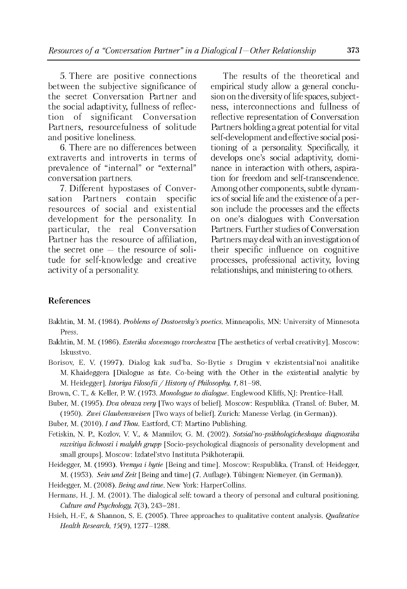5. There are positive connections between the subjective significance of the secret Conversation Partner and the social adaptivity, fullness of reflection of significant Conversation Partners, resourcefulness of solitude and positive loneliness.

6. There are no differences between extraverts and introverts in terms of prevalence of "internal" or "external" conversation partners.

7. Different hypostases of Conversation Partners contain specific resources of social and existential development for the personality. In particular, the real Conversation Partner has the resource of affiliation, the secret one  $-$  the resource of solitude for self-knowledge and creative activity of a personality.

The results of the theoretical and empirical study allow a general conclusion on the diversity of life spaces, subjectness, interconnections and fullness of reflective representation of Conversation Partners holding a great potential for vital self-development and effective social positioning of a personality. Specifically, it develops one's social adaptivity, dominance in interaction with others, aspiration for freedom and self-transcendence. Among other components, subtle dynamics of social life and the existence of a person include the processes and the effects on one's dialogues with Conversation Partners. Further studies of Conversation Partners may deal with an investigation of their specific influence on cognitive processes, professional activity, loving relationships, and ministering to others.

## **References**

- Bakhtin, M. M. (1984). *Problems of Dostoevsky's poetics*. Minneapolis, MN: University of Minnesota Press.
- Bakhtin, M. M. (1986). *Estetika slovesnogo tvorchestva* [The aesthetics of verbal creativity]. Moscow: Iskusstvo.
- Borisov, E. V. (1997). Dialog kak sud'ba. So-Bytie s Drugim v ekzistentsial'noi analitike M. Khaideggera [Dialogue as fate. Co-being with the Other in the existential analytic by M. Heidegger]. *Istoriya Filosofii / History of Philosophy, 1,* 81-98.
- Brown, C. T., & Keller, P. W. (1973. *Monologue to dialogue.* Englewood Kliffs, NJ: Prentice-Hall.
- Buber, M. (1995). *Dva obraza very* [Two ways of belief]. Moscow: Respublika. (Transl. of: Buber, M. (1950). *Zwei Glaubensweisen* [Two ways of belief]. Zurich: Manesse Verlag. (in German)).

Buber, M. (2010). *I and Thou.* Eastford, CT: Martino Publishing.

- Fetiskin, N. P., Kozlov, V. V., & Manuilov, G. M. (2002). *Sotsial'no-psikhologicheskaya diagnostika razvitiya lichnosti i malykh grupp* [Socio-psychological diagnosis of personality development and small groups]. Moscow: Izdatel'stvo Instituta Psikhoterapii.
- Heidegger, M. (1993). *Vremya i bytie* [Being and time]. Moscow: Respublika. (Transl. of: Heidegger, M. (1953). *Sein und Zeit* [Being and time] (7. Auflage). Tübingen: Niemeyer. (in German)).
- Heidegger, M. (2008). *Being and time.* New York: HarperCollins.
- Hermans, H. J. M. (2001). The dialogical self: toward a theory of personal and cultural positioning. *Culture and Psychology,* 7(3), 243-281.
- Hsieh, H.-F., & Shannon, S. E. (2005). Three approaches to qualitative content analysis. *Qualitative Health Research,* 15(9), 1277-1288.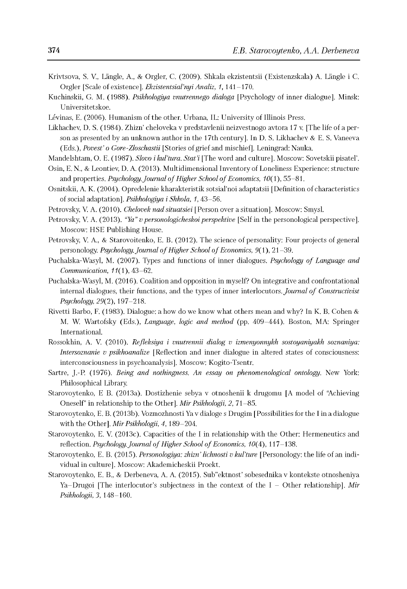- Krivtsova, S. V., Langle, A., & Orgler, C. (2009). Shkala ekzistentsii (Existenzskala) A. Langle i C. Orgler [Scale of existence]. *Ekzistentsial'nyi Analiz, 1,* 141-170.
- Kuchinskii, G. M. (1988). *Psikhologiya vnutrennego dialoga* [Psychology of inner dialogue]. Minsk: Universitetskoe.
- Levinas, E. (2006). Humanism of the other. Urbana, IL: University of Illinois Press.
- Likhachev, D. S. (1984). Zhizn' cheloveka v predstavlenii neizvestnogo avtora 17 v. [The life of a person as presented by an unknown author in the 17th century]. In D. S. Likhachev & E. S. Vaneeva (Eds.), *Povest' o Gore-Zloschastii* [Stories of grief and mischief]. Leningrad: Nauka.
- Mandelshtam, O. E. (1987). *Slovo i kul'tura. Stat'i* [The word and culture]. Moscow: Sovetskii pisatel'.
- Osin, E. N., & Leontiev, D. A. (2013). Multidimensional Inventory of Loneliness Experience: structure and properties. *Psychology. Journal of Higher School of Economics*, 10(1), 55-81.
- Osnitskii, A. K. (2004). Opredelenie kharakteristik sotsial'noi adaptatsii [Definition of characteristics of social adaptation]. *Psikhologiya i Shkola, 1,* 43-56.
- Petrovsky, V. A. (2010). *Chelovek nad situatsiei* [ Person over a situation]. Moscow: Smysl.
- Petrovsky, V. A. (2013). *"Ya" vpersonologicheskoiperspektive* [Self in the personological perspective]. Moscow: HSE Publishing House.
- Petrovsky, V. A., & Starovoitenko, E. B. (2012). The science of personality: Four projects of general personology. *Psychology. Journal of Higher School of Economics*,  $9(1)$ , 21-39.
- Puchalska-Wasyl, M. (2007). Types and functions of inner dialogues. *Psychology of Language and Communication,* 11(1), 43-62.
- Puchalska-Wasyl, M. (2016). Coalition and opposition in myself? On integrative and confrontational internal dialogues, their functions, and the types of inner interlocutors. *Journal of Constructivist Psychology,* 29(2), 197-218.
- Rivetti Barbo, F. (1983). Dialogue: a how do we know what others mean and why? In K. B. Cohen & M. W. Wartofsky (Eds.), *Language, logic and method* (pp. 409-444). Boston, MA: Springer International.
- Rossokhin, A. V. (2010). *Refleksiya i vnutrennii dialog v izmenyonnykh sostoyaniyakh soznaniya: Intersoznanie v psikhoanalize* [Reflection and inner dialogue in altered states of consciousness: interconsciousness in psychoanalysis]. Moscow: Kogito-Tsentr.
- Sartre, J.-P. (1976). *Being and nothingness. An essay on phenomenological ontology.* New York: Philosophical Library.
- Starovoytenko, E B. (2013a). Dostizhenie sebya v otnoshenii k drugomu [A model of "Achieving Oneself" in relationship to the Other]. *Mir Psikhologii, 2,* 71-85.
- Starovoytenko, E. B. (2013b). Vozmozhnosti Ya v dialoge s Drugim [Possibilities for the I in a dialogue with the Other]. *Mir Psikhologii, 4,* 189-204.
- Starovoytenko, E. V. (2013c). Capacities of the I in relationship with the Other: Hermeneutics and reflection. *Psychology. Journal of Higher School of Economics*, 10(4), 117-138.
- Starovoytenko, E. B. (2015). *Personologiya: zhizn' lichnosti v kul'ture* [Personology: the life of an individual in culture]. Moscow: Akademicheskii Proekt.
- Starovoytenko, E. B., & Derbeneva, A. A. (2015). Sub"ektnost' sobesednika v kontekste otnosheniya Ya-Drugoi [The interlocutor's subjectness in the context of the I - Other relationship]. *Mir Psikhologii, 3,* 148-160.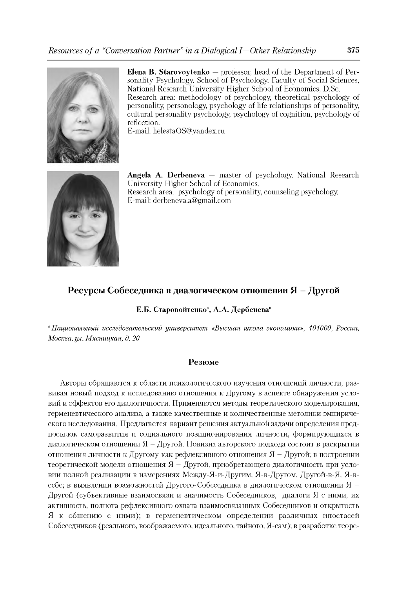

**Elena B. Starovoytenko** — professor, head of the Department of Personality Psychology, School of Psychology, Faculty of Social Sciences, National Research University Higher School of Economics, D.Sc. Research area: methodology of psychology, theoretical psychology of personality, personology, psychology of life relationships of personality, cultural personality psychology, psychology of cognition, psychology of reflection.

E-mail: [helestaOS@yandex.ru](mailto:helestaOS@yandex.ru)



**Angela A. Derbeneva** — master of psychology, National Research University Higher School of Economics. Research area: psychology of personality, counseling psychology. E-mail: [derbeneva.a@gmail.com](mailto:derbeneva.a@gmail.com)

## **Ресурсы Собеседника в диалогическом отношении Я - Другой**

#### **Е.Б. Старовойтенко", А.А. Дербенева"**

*'Национальный исследовательский университет «Высшая школа экономики», 101000, Россия, Москва, ул. Мясницкая, д. 20*

#### **Резюме**

Авторы обращаются к области психологического изучения отношений личности, развивая новый подход к исследованию отношения к Другому в аспекте обнаружения условий и эффектов его диалогичности. Применяются методы теоретического моделирования, герменевтического анализа, а также качественные и количественные методики эмпирического исследования. Предлагается вариант решения актуальной задачи определения предпосылок саморазвития и социального позиционирования личности, формирующихся в диалогическом отношении  $A - A$ ругой. Новизна авторского подхода состоит в раскрытии отношения личности к Другому как рефлексивного отношения  $\mathfrak{A} - \Lambda$ ругой; в построении теоретической модели отношения  $A -$  Другой, приобретающего диалогичность при условии полной реализации в измерениях Между-Я-и-Другим, Я-в-Другом, Другой-в-Я, Я-всебе; в выявлении возможностей Другого-Собеседника в диалогическом отношении Я -Другой (субъективные взаимосвязи и значимость Собеседников, диалоги Я с ними, их активность, полнота рефлексивного охвата взаимосвязанных Собеседников и открытость Я к общению с ними); в герменевтическом определении различных ипостасей Собеседников (реального, воображаемого, идеального, тайного, Я-сам); в разработке теоре